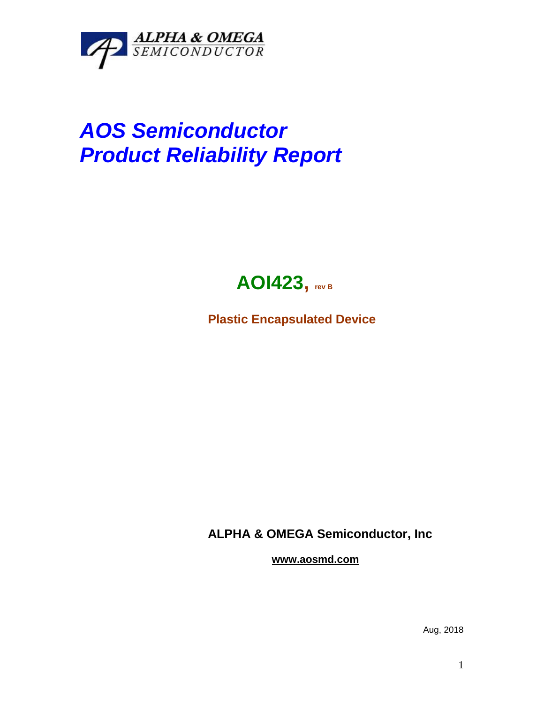

## *AOS Semiconductor Product Reliability Report*



**Plastic Encapsulated Device**

**ALPHA & OMEGA Semiconductor, Inc**

**www.aosmd.com**

Aug, 2018